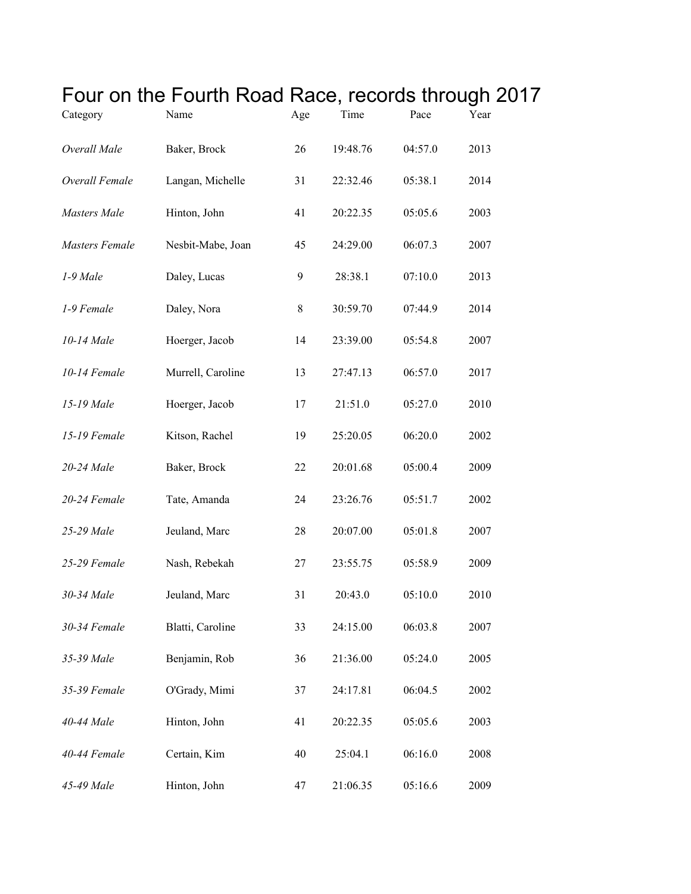|                | Four on the Fourth Road Race, records through 2017 |       |          |         |      |  |
|----------------|----------------------------------------------------|-------|----------|---------|------|--|
| Category       | Name                                               | Age   | Time     | Pace    | Year |  |
| Overall Male   | Baker, Brock                                       | 26    | 19:48.76 | 04:57.0 | 2013 |  |
| Overall Female | Langan, Michelle                                   | 31    | 22:32.46 | 05:38.1 | 2014 |  |
| Masters Male   | Hinton, John                                       | 41    | 20:22.35 | 05:05.6 | 2003 |  |
| Masters Female | Nesbit-Mabe, Joan                                  | 45    | 24:29.00 | 06:07.3 | 2007 |  |
| 1-9 Male       | Daley, Lucas                                       | 9     | 28:38.1  | 07:10.0 | 2013 |  |
| 1-9 Female     | Daley, Nora                                        | $8\,$ | 30:59.70 | 07:44.9 | 2014 |  |
| 10-14 Male     | Hoerger, Jacob                                     | 14    | 23:39.00 | 05:54.8 | 2007 |  |
| 10-14 Female   | Murrell, Caroline                                  | 13    | 27:47.13 | 06:57.0 | 2017 |  |
| 15-19 Male     | Hoerger, Jacob                                     | 17    | 21:51.0  | 05:27.0 | 2010 |  |
| 15-19 Female   | Kitson, Rachel                                     | 19    | 25:20.05 | 06:20.0 | 2002 |  |
| 20-24 Male     | Baker, Brock                                       | 22    | 20:01.68 | 05:00.4 | 2009 |  |
| 20-24 Female   | Tate, Amanda                                       | 24    | 23:26.76 | 05:51.7 | 2002 |  |
| 25-29 Male     | Jeuland, Marc                                      | 28    | 20:07.00 | 05:01.8 | 2007 |  |
| 25-29 Female   | Nash, Rebekah                                      | 27    | 23:55.75 | 05:58.9 | 2009 |  |
| 30-34 Male     | Jeuland, Marc                                      | 31    | 20:43.0  | 05:10.0 | 2010 |  |
| 30-34 Female   | Blatti, Caroline                                   | 33    | 24:15.00 | 06:03.8 | 2007 |  |
| 35-39 Male     | Benjamin, Rob                                      | 36    | 21:36.00 | 05:24.0 | 2005 |  |
| 35-39 Female   | O'Grady, Mimi                                      | 37    | 24:17.81 | 06:04.5 | 2002 |  |
| 40-44 Male     | Hinton, John                                       | 41    | 20:22.35 | 05:05.6 | 2003 |  |
| 40-44 Female   | Certain, Kim                                       | 40    | 25:04.1  | 06:16.0 | 2008 |  |
| 45-49 Male     | Hinton, John                                       | 47    | 21:06.35 | 05:16.6 | 2009 |  |